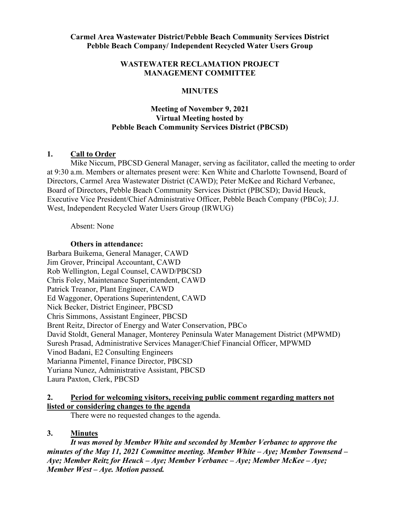#### **WASTEWATER RECLAMATION PROJECT MANAGEMENT COMMITTEE**

### **MINUTES**

# **Meeting of November 9, 2021 Virtual Meeting hosted by Pebble Beach Community Services District (PBCSD)**

# **1. Call to Order**

Mike Niccum, PBCSD General Manager, serving as facilitator, called the meeting to order at 9:30 a.m. Members or alternates present were: Ken White and Charlotte Townsend, Board of Directors, Carmel Area Wastewater District (CAWD); Peter McKee and Richard Verbanec, Board of Directors, Pebble Beach Community Services District (PBCSD); David Heuck, Executive Vice President/Chief Administrative Officer, Pebble Beach Company (PBCo); J.J. West, Independent Recycled Water Users Group (IRWUG)

Absent: None

#### **Others in attendance:**

Barbara Buikema, General Manager, CAWD Jim Grover, Principal Accountant, CAWD Rob Wellington, Legal Counsel, CAWD/PBCSD Chris Foley, Maintenance Superintendent, CAWD Patrick Treanor, Plant Engineer, CAWD Ed Waggoner, Operations Superintendent, CAWD Nick Becker, District Engineer, PBCSD Chris Simmons, Assistant Engineer, PBCSD Brent Reitz, Director of Energy and Water Conservation, PBCo David Stoldt, General Manager, Monterey Peninsula Water Management District (MPWMD) Suresh Prasad, Administrative Services Manager/Chief Financial Officer, MPWMD Vinod Badani, E2 Consulting Engineers Marianna Pimentel, Finance Director, PBCSD Yuriana Nunez, Administrative Assistant, PBCSD Laura Paxton, Clerk, PBCSD

# **2. Period for welcoming visitors, receiving public comment regarding matters not listed or considering changes to the agenda**

There were no requested changes to the agenda.

#### **3. Minutes**

*It was moved by Member White and seconded by Member Verbanec to approve the minutes of the May 11, 2021 Committee meeting. Member White – Aye; Member Townsend – Aye; Member Reitz for Heuck – Aye; Member Verbanec – Aye; Member McKee – Aye; Member West – Aye. Motion passed.*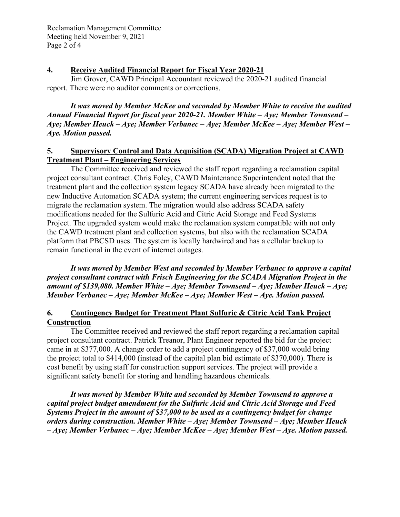Reclamation Management Committee Meeting held November 9, 2021 Page 2 of 4

### **4. Receive Audited Financial Report for Fiscal Year 2020-21**

Jim Grover, CAWD Principal Accountant reviewed the 2020-21 audited financial report. There were no auditor comments or corrections.

*It was moved by Member McKee and seconded by Member White to receive the audited Annual Financial Report for fiscal year 2020-21. Member White – Aye; Member Townsend – Aye; Member Heuck – Aye; Member Verbanec – Aye; Member McKee – Aye; Member West – Aye. Motion passed.* 

### **5. Supervisory Control and Data Acquisition (SCADA) Migration Project at CAWD Treatment Plant – Engineering Services**

The Committee received and reviewed the staff report regarding a reclamation capital project consultant contract. Chris Foley, CAWD Maintenance Superintendent noted that the treatment plant and the collection system legacy SCADA have already been migrated to the new Inductive Automation SCADA system; the current engineering services request is to migrate the reclamation system. The migration would also address SCADA safety modifications needed for the Sulfuric Acid and Citric Acid Storage and Feed Systems Project. The upgraded system would make the reclamation system compatible with not only the CAWD treatment plant and collection systems, but also with the reclamation SCADA platform that PBCSD uses. The system is locally hardwired and has a cellular backup to remain functional in the event of internet outages.

*It was moved by Member West and seconded by Member Verbanec to approve a capital project consultant contract with Frisch Engineering for the SCADA Migration Project in the amount of \$139,080. Member White – Aye; Member Townsend – Aye; Member Heuck – Aye; Member Verbanec – Aye; Member McKee – Aye; Member West – Aye. Motion passed.* 

# **6. Contingency Budget for Treatment Plant Sulfuric & Citric Acid Tank Project Construction**

The Committee received and reviewed the staff report regarding a reclamation capital project consultant contract. Patrick Treanor, Plant Engineer reported the bid for the project came in at \$377,000. A change order to add a project contingency of \$37,000 would bring the project total to \$414,000 (instead of the capital plan bid estimate of \$370,000). There is cost benefit by using staff for construction support services. The project will provide a significant safety benefit for storing and handling hazardous chemicals.

*It was moved by Member White and seconded by Member Townsend to approve a capital project budget amendment for the Sulfuric Acid and Citric Acid Storage and Feed Systems Project in the amount of \$37,000 to be used as a contingency budget for change orders during construction. Member White – Aye; Member Townsend – Aye; Member Heuck – Aye; Member Verbanec – Aye; Member McKee – Aye; Member West – Aye. Motion passed.*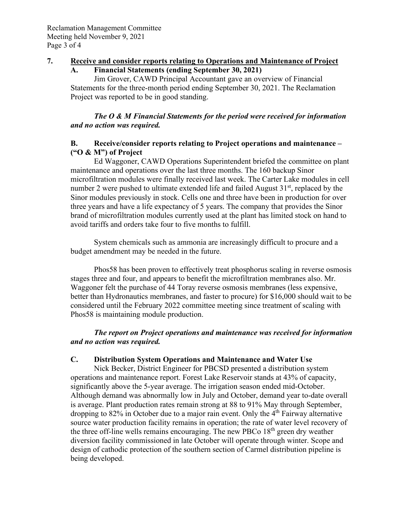### **7. Receive and consider reports relating to Operations and Maintenance of Project**

#### **A. Financial Statements (ending September 30, 2021)**

Jim Grover, CAWD Principal Accountant gave an overview of Financial Statements for the three-month period ending September 30, 2021. The Reclamation Project was reported to be in good standing.

### *The O & M Financial Statements for the period were received for information and no action was required.*

### **B. Receive/consider reports relating to Project operations and maintenance – ("O & M") of Project**

Ed Waggoner, CAWD Operations Superintendent briefed the committee on plant maintenance and operations over the last three months. The 160 backup Sinor microfiltration modules were finally received last week. The Carter Lake modules in cell number 2 were pushed to ultimate extended life and failed August  $31<sup>st</sup>$ , replaced by the Sinor modules previously in stock. Cells one and three have been in production for over three years and have a life expectancy of 5 years. The company that provides the Sinor brand of microfiltration modules currently used at the plant has limited stock on hand to avoid tariffs and orders take four to five months to fulfill.

System chemicals such as ammonia are increasingly difficult to procure and a budget amendment may be needed in the future.

Phos58 has been proven to effectively treat phosphorus scaling in reverse osmosis stages three and four, and appears to benefit the microfiltration membranes also. Mr. Waggoner felt the purchase of 44 Toray reverse osmosis membranes (less expensive, better than Hydronautics membranes, and faster to procure) for \$16,000 should wait to be considered until the February 2022 committee meeting since treatment of scaling with Phos58 is maintaining module production.

# *The report on Project operations and maintenance was received for information and no action was required.*

#### **C. Distribution System Operations and Maintenance and Water Use**

Nick Becker, District Engineer for PBCSD presented a distribution system operations and maintenance report. Forest Lake Reservoir stands at 43% of capacity, significantly above the 5-year average. The irrigation season ended mid-October. Although demand was abnormally low in July and October, demand year to-date overall is average. Plant production rates remain strong at 88 to 91% May through September, dropping to  $82\%$  in October due to a major rain event. Only the  $4<sup>th</sup>$  Fairway alternative source water production facility remains in operation; the rate of water level recovery of the three off-line wells remains encouraging. The new PBCo  $18<sup>th</sup>$  green dry weather diversion facility commissioned in late October will operate through winter. Scope and design of cathodic protection of the southern section of Carmel distribution pipeline is being developed.